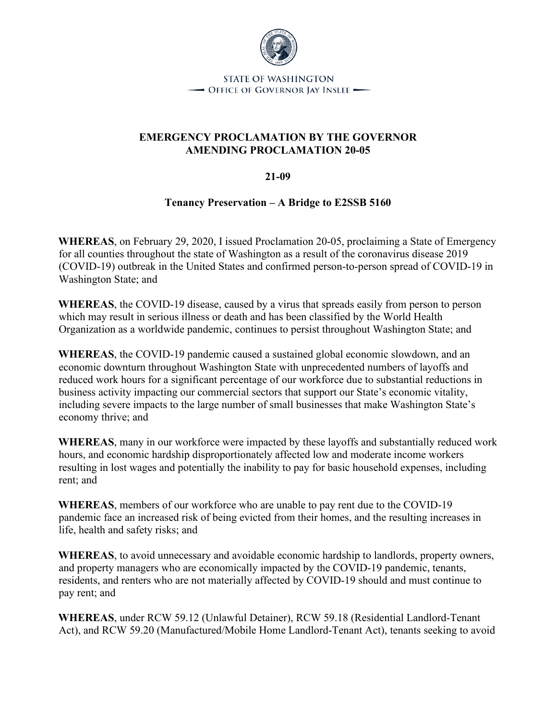

**STATE OF WASHINGTON** - OFFICE OF GOVERNOR JAY INSLEE -

### **EMERGENCY PROCLAMATION BY THE GOVERNOR AMENDING PROCLAMATION 20-05**

#### **21-09**

#### **Tenancy Preservation – A Bridge to E2SSB 5160**

**WHEREAS**, on February 29, 2020, I issued Proclamation 20-05, proclaiming a State of Emergency for all counties throughout the state of Washington as a result of the coronavirus disease 2019 (COVID-19) outbreak in the United States and confirmed person-to-person spread of COVID-19 in Washington State; and

**WHEREAS**, the COVID-19 disease, caused by a virus that spreads easily from person to person which may result in serious illness or death and has been classified by the World Health Organization as a worldwide pandemic, continues to persist throughout Washington State; and

**WHEREAS**, the COVID-19 pandemic caused a sustained global economic slowdown, and an economic downturn throughout Washington State with unprecedented numbers of layoffs and reduced work hours for a significant percentage of our workforce due to substantial reductions in business activity impacting our commercial sectors that support our State's economic vitality, including severe impacts to the large number of small businesses that make Washington State's economy thrive; and

**WHEREAS**, many in our workforce were impacted by these layoffs and substantially reduced work hours, and economic hardship disproportionately affected low and moderate income workers resulting in lost wages and potentially the inability to pay for basic household expenses, including rent; and

**WHEREAS**, members of our workforce who are unable to pay rent due to the COVID-19 pandemic face an increased risk of being evicted from their homes, and the resulting increases in life, health and safety risks; and

**WHEREAS**, to avoid unnecessary and avoidable economic hardship to landlords, property owners, and property managers who are economically impacted by the COVID-19 pandemic, tenants, residents, and renters who are not materially affected by COVID-19 should and must continue to pay rent; and

**WHEREAS**, under RCW 59.12 (Unlawful Detainer), RCW 59.18 (Residential Landlord-Tenant Act), and RCW 59.20 (Manufactured/Mobile Home Landlord-Tenant Act), tenants seeking to avoid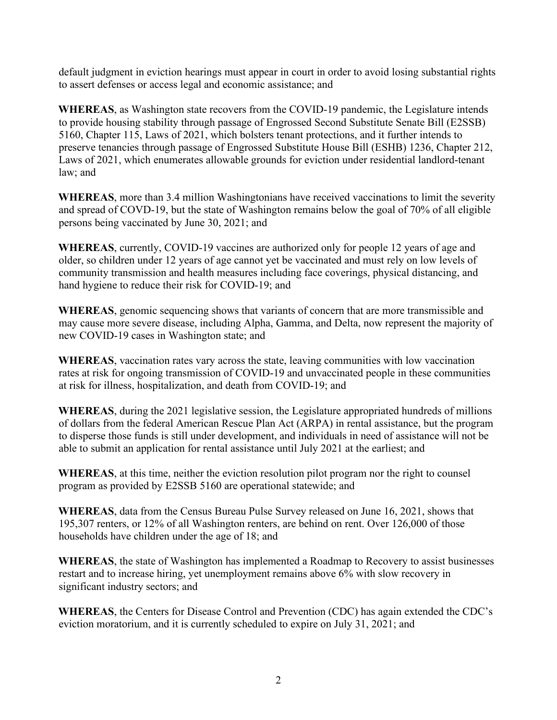default judgment in eviction hearings must appear in court in order to avoid losing substantial rights to assert defenses or access legal and economic assistance; and

**WHEREAS**, as Washington state recovers from the COVID-19 pandemic, the Legislature intends to provide housing stability through passage of Engrossed Second Substitute Senate Bill (E2SSB) 5160, Chapter 115, Laws of 2021, which bolsters tenant protections, and it further intends to preserve tenancies through passage of Engrossed Substitute House Bill (ESHB) 1236, Chapter 212, Laws of 2021, which enumerates allowable grounds for eviction under residential landlord-tenant law; and

**WHEREAS**, more than 3.4 million Washingtonians have received vaccinations to limit the severity and spread of COVD-19, but the state of Washington remains below the goal of 70% of all eligible persons being vaccinated by June 30, 2021; and

**WHEREAS**, currently, COVID-19 vaccines are authorized only for people 12 years of age and older, so children under 12 years of age cannot yet be vaccinated and must rely on low levels of community transmission and health measures including face coverings, physical distancing, and hand hygiene to reduce their risk for COVID-19; and

**WHEREAS**, genomic sequencing shows that variants of concern that are more transmissible and may cause more severe disease, including Alpha, Gamma, and Delta, now represent the majority of new COVID-19 cases in Washington state; and

**WHEREAS**, vaccination rates vary across the state, leaving communities with low vaccination rates at risk for ongoing transmission of COVID-19 and unvaccinated people in these communities at risk for illness, hospitalization, and death from COVID-19; and

**WHEREAS**, during the 2021 legislative session, the Legislature appropriated hundreds of millions of dollars from the federal American Rescue Plan Act (ARPA) in rental assistance, but the program to disperse those funds is still under development, and individuals in need of assistance will not be able to submit an application for rental assistance until July 2021 at the earliest; and

**WHEREAS**, at this time, neither the eviction resolution pilot program nor the right to counsel program as provided by E2SSB 5160 are operational statewide; and

**WHEREAS**, data from the Census Bureau Pulse Survey released on June 16, 2021, shows that 195,307 renters, or 12% of all Washington renters, are behind on rent. Over 126,000 of those households have children under the age of 18; and

**WHEREAS**, the state of Washington has implemented a Roadmap to Recovery to assist businesses restart and to increase hiring, yet unemployment remains above 6% with slow recovery in significant industry sectors; and

**WHEREAS**, the Centers for Disease Control and Prevention (CDC) has again extended the CDC's eviction moratorium, and it is currently scheduled to expire on July 31, 2021; and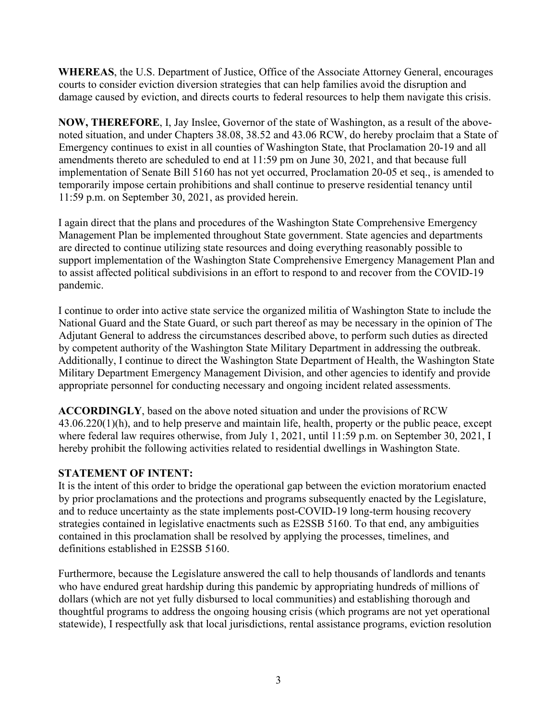**WHEREAS**, the U.S. Department of Justice, Office of the Associate Attorney General, encourages courts to consider eviction diversion strategies that can help families avoid the disruption and damage caused by eviction, and directs courts to federal resources to help them navigate this crisis.

**NOW, THEREFORE**, I, Jay Inslee, Governor of the state of Washington, as a result of the abovenoted situation, and under Chapters 38.08, 38.52 and 43.06 RCW, do hereby proclaim that a State of Emergency continues to exist in all counties of Washington State, that Proclamation 20-19 and all amendments thereto are scheduled to end at 11:59 pm on June 30, 2021, and that because full implementation of Senate Bill 5160 has not yet occurred, Proclamation 20-05 et seq., is amended to temporarily impose certain prohibitions and shall continue to preserve residential tenancy until 11:59 p.m. on September 30, 2021, as provided herein.

I again direct that the plans and procedures of the Washington State Comprehensive Emergency Management Plan be implemented throughout State government. State agencies and departments are directed to continue utilizing state resources and doing everything reasonably possible to support implementation of the Washington State Comprehensive Emergency Management Plan and to assist affected political subdivisions in an effort to respond to and recover from the COVID-19 pandemic.

I continue to order into active state service the organized militia of Washington State to include the National Guard and the State Guard, or such part thereof as may be necessary in the opinion of The Adjutant General to address the circumstances described above, to perform such duties as directed by competent authority of the Washington State Military Department in addressing the outbreak. Additionally, I continue to direct the Washington State Department of Health, the Washington State Military Department Emergency Management Division, and other agencies to identify and provide appropriate personnel for conducting necessary and ongoing incident related assessments.

**ACCORDINGLY**, based on the above noted situation and under the provisions of RCW 43.06.220(1)(h), and to help preserve and maintain life, health, property or the public peace, except where federal law requires otherwise, from July 1, 2021, until 11:59 p.m. on September 30, 2021, I hereby prohibit the following activities related to residential dwellings in Washington State.

### **STATEMENT OF INTENT:**

It is the intent of this order to bridge the operational gap between the eviction moratorium enacted by prior proclamations and the protections and programs subsequently enacted by the Legislature, and to reduce uncertainty as the state implements post-COVID-19 long-term housing recovery strategies contained in legislative enactments such as E2SSB 5160. To that end, any ambiguities contained in this proclamation shall be resolved by applying the processes, timelines, and definitions established in E2SSB 5160.

Furthermore, because the Legislature answered the call to help thousands of landlords and tenants who have endured great hardship during this pandemic by appropriating hundreds of millions of dollars (which are not yet fully disbursed to local communities) and establishing thorough and thoughtful programs to address the ongoing housing crisis (which programs are not yet operational statewide), I respectfully ask that local jurisdictions, rental assistance programs, eviction resolution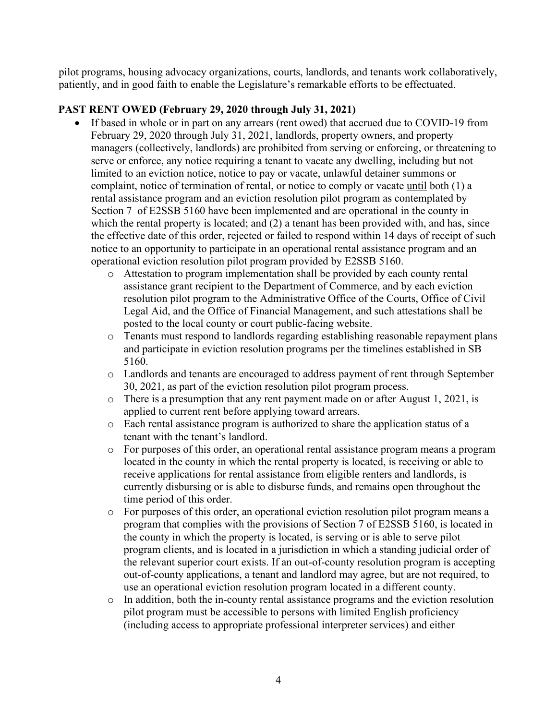pilot programs, housing advocacy organizations, courts, landlords, and tenants work collaboratively, patiently, and in good faith to enable the Legislature's remarkable efforts to be effectuated.

### **PAST RENT OWED (February 29, 2020 through July 31, 2021)**

- If based in whole or in part on any arrears (rent owed) that accrued due to COVID-19 from February 29, 2020 through July 31, 2021, landlords, property owners, and property managers (collectively, landlords) are prohibited from serving or enforcing, or threatening to serve or enforce, any notice requiring a tenant to vacate any dwelling, including but not limited to an eviction notice, notice to pay or vacate, unlawful detainer summons or complaint, notice of termination of rental, or notice to comply or vacate until both (1) a rental assistance program and an eviction resolution pilot program as contemplated by Section 7 of E2SSB 5160 have been implemented and are operational in the county in which the rental property is located; and (2) a tenant has been provided with, and has, since the effective date of this order, rejected or failed to respond within 14 days of receipt of such notice to an opportunity to participate in an operational rental assistance program and an operational eviction resolution pilot program provided by E2SSB 5160.
	- o Attestation to program implementation shall be provided by each county rental assistance grant recipient to the Department of Commerce, and by each eviction resolution pilot program to the Administrative Office of the Courts, Office of Civil Legal Aid, and the Office of Financial Management, and such attestations shall be posted to the local county or court public-facing website.
	- o Tenants must respond to landlords regarding establishing reasonable repayment plans and participate in eviction resolution programs per the timelines established in SB 5160.
	- o Landlords and tenants are encouraged to address payment of rent through September 30, 2021, as part of the eviction resolution pilot program process.
	- o There is a presumption that any rent payment made on or after August 1, 2021, is applied to current rent before applying toward arrears.
	- o Each rental assistance program is authorized to share the application status of a tenant with the tenant's landlord.
	- o For purposes of this order, an operational rental assistance program means a program located in the county in which the rental property is located, is receiving or able to receive applications for rental assistance from eligible renters and landlords, is currently disbursing or is able to disburse funds, and remains open throughout the time period of this order.
	- o For purposes of this order, an operational eviction resolution pilot program means a program that complies with the provisions of Section 7 of E2SSB 5160, is located in the county in which the property is located, is serving or is able to serve pilot program clients, and is located in a jurisdiction in which a standing judicial order of the relevant superior court exists. If an out-of-county resolution program is accepting out-of-county applications, a tenant and landlord may agree, but are not required, to use an operational eviction resolution program located in a different county.
	- o In addition, both the in-county rental assistance programs and the eviction resolution pilot program must be accessible to persons with limited English proficiency (including access to appropriate professional interpreter services) and either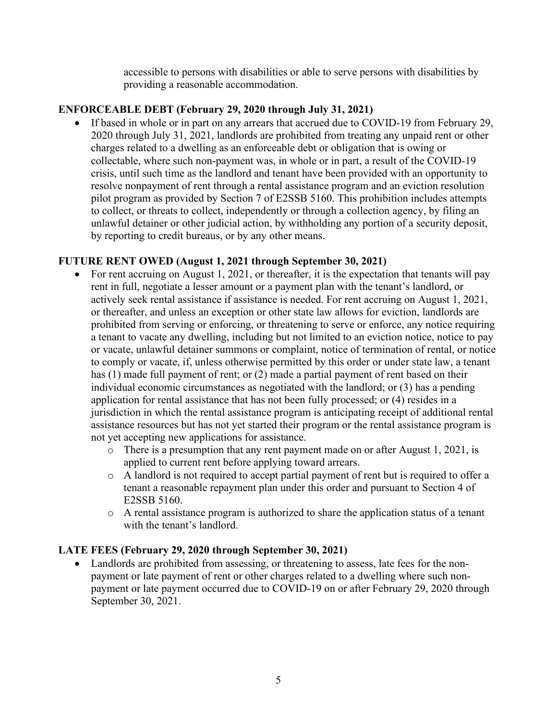accessible to persons with disabilities or able to serve persons with disabilities by providing a reasonable accommodation.

### **ENFORCEABLE DEBT (February 29, 2020 through July 31, 2021)**

• If based in whole or in part on any arrears that accrued due to COVID-19 from February 29, 2020 through July 31, 2021, landlords are prohibited from treating any unpaid rent or other charges related to a dwelling as an enforceable debt or obligation that is owing or collectable, where such non-payment was, in whole or in part, a result of the COVID-19 crisis, until such time as the landlord and tenant have been provided with an opportunity to resolve nonpayment of rent through a rental assistance program and an eviction resolution pilot program as provided by Section 7 of E2SSB 5160. This prohibition includes attempts to collect, or threats to collect, independently or through a collection agency, by filing an unlawful detainer or other judicial action, by withholding any portion of a security deposit, by reporting to credit bureaus, or by any other means.

### **FUTURE RENT OWED (August 1, 2021 through September 30, 2021)**

- For rent accruing on August 1, 2021, or thereafter, it is the expectation that tenants will pay rent in full, negotiate a lesser amount or a payment plan with the tenant's landlord, or actively seek rental assistance if assistance is needed. For rent accruing on August 1, 2021, or thereafter, and unless an exception or other state law allows for eviction, landlords are prohibited from serving or enforcing, or threatening to serve or enforce, any notice requiring a tenant to vacate any dwelling, including but not limited to an eviction notice, notice to pay or vacate, unlawful detainer summons or complaint, notice of termination of rental, or notice to comply or vacate, if, unless otherwise permitted by this order or under state law, a tenant has (1) made full payment of rent; or (2) made a partial payment of rent based on their individual economic circumstances as negotiated with the landlord; or (3) has a pending application for rental assistance that has not been fully processed; or (4) resides in a jurisdiction in which the rental assistance program is anticipating receipt of additional rental assistance resources but has not yet started their program or the rental assistance program is not yet accepting new applications for assistance.
	- o There is a presumption that any rent payment made on or after August 1, 2021, is applied to current rent before applying toward arrears.
	- o A landlord is not required to accept partial payment of rent but is required to offer a tenant a reasonable repayment plan under this order and pursuant to Section 4 of E2SSB 5160.
	- o A rental assistance program is authorized to share the application status of a tenant with the tenant's landlord.

### **LATE FEES (February 29, 2020 through September 30, 2021)**

• Landlords are prohibited from assessing, or threatening to assess, late fees for the nonpayment or late payment of rent or other charges related to a dwelling where such nonpayment or late payment occurred due to COVID-19 on or after February 29, 2020 through September 30, 2021.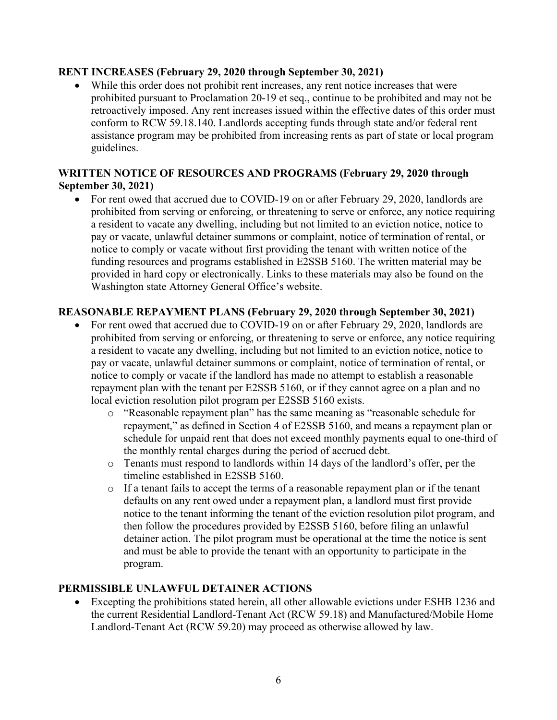#### **RENT INCREASES (February 29, 2020 through September 30, 2021)**

• While this order does not prohibit rent increases, any rent notice increases that were prohibited pursuant to Proclamation 20-19 et seq., continue to be prohibited and may not be retroactively imposed. Any rent increases issued within the effective dates of this order must conform to RCW 59.18.140. Landlords accepting funds through state and/or federal rent assistance program may be prohibited from increasing rents as part of state or local program guidelines.

## **WRITTEN NOTICE OF RESOURCES AND PROGRAMS (February 29, 2020 through September 30, 2021)**

• For rent owed that accrued due to COVID-19 on or after February 29, 2020, landlords are prohibited from serving or enforcing, or threatening to serve or enforce, any notice requiring a resident to vacate any dwelling, including but not limited to an eviction notice, notice to pay or vacate, unlawful detainer summons or complaint, notice of termination of rental, or notice to comply or vacate without first providing the tenant with written notice of the funding resources and programs established in E2SSB 5160. The written material may be provided in hard copy or electronically. Links to these materials may also be found on the Washington state Attorney General Office's website.

## **REASONABLE REPAYMENT PLANS (February 29, 2020 through September 30, 2021)**

- For rent owed that accrued due to COVID-19 on or after February 29, 2020, landlords are prohibited from serving or enforcing, or threatening to serve or enforce, any notice requiring a resident to vacate any dwelling, including but not limited to an eviction notice, notice to pay or vacate, unlawful detainer summons or complaint, notice of termination of rental, or notice to comply or vacate if the landlord has made no attempt to establish a reasonable repayment plan with the tenant per E2SSB 5160, or if they cannot agree on a plan and no local eviction resolution pilot program per E2SSB 5160 exists.
	- o "Reasonable repayment plan" has the same meaning as "reasonable schedule for repayment," as defined in Section 4 of E2SSB 5160, and means a repayment plan or schedule for unpaid rent that does not exceed monthly payments equal to one-third of the monthly rental charges during the period of accrued debt.
	- o Tenants must respond to landlords within 14 days of the landlord's offer, per the timeline established in E2SSB 5160.
	- o If a tenant fails to accept the terms of a reasonable repayment plan or if the tenant defaults on any rent owed under a repayment plan, a landlord must first provide notice to the tenant informing the tenant of the eviction resolution pilot program, and then follow the procedures provided by E2SSB 5160, before filing an unlawful detainer action. The pilot program must be operational at the time the notice is sent and must be able to provide the tenant with an opportunity to participate in the program.

### **PERMISSIBLE UNLAWFUL DETAINER ACTIONS**

• Excepting the prohibitions stated herein, all other allowable evictions under ESHB 1236 and the current Residential Landlord-Tenant Act (RCW 59.18) and Manufactured/Mobile Home Landlord-Tenant Act (RCW 59.20) may proceed as otherwise allowed by law.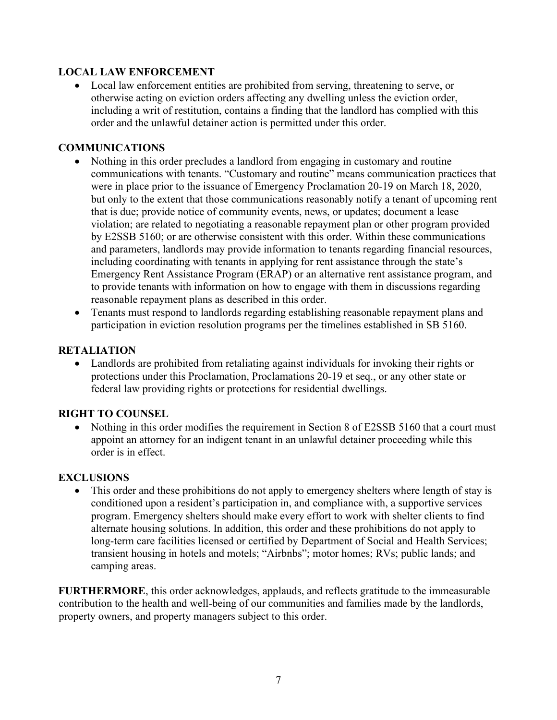## **LOCAL LAW ENFORCEMENT**

• Local law enforcement entities are prohibited from serving, threatening to serve, or otherwise acting on eviction orders affecting any dwelling unless the eviction order, including a writ of restitution, contains a finding that the landlord has complied with this order and the unlawful detainer action is permitted under this order.

## **COMMUNICATIONS**

- Nothing in this order precludes a landlord from engaging in customary and routine communications with tenants. "Customary and routine" means communication practices that were in place prior to the issuance of Emergency Proclamation 20-19 on March 18, 2020, but only to the extent that those communications reasonably notify a tenant of upcoming rent that is due; provide notice of community events, news, or updates; document a lease violation; are related to negotiating a reasonable repayment plan or other program provided by E2SSB 5160; or are otherwise consistent with this order. Within these communications and parameters, landlords may provide information to tenants regarding financial resources, including coordinating with tenants in applying for rent assistance through the state's Emergency Rent Assistance Program (ERAP) or an alternative rent assistance program, and to provide tenants with information on how to engage with them in discussions regarding reasonable repayment plans as described in this order.
- Tenants must respond to landlords regarding establishing reasonable repayment plans and participation in eviction resolution programs per the timelines established in SB 5160.

### **RETALIATION**

• Landlords are prohibited from retaliating against individuals for invoking their rights or protections under this Proclamation, Proclamations 20-19 et seq., or any other state or federal law providing rights or protections for residential dwellings.

### **RIGHT TO COUNSEL**

• Nothing in this order modifies the requirement in Section 8 of E2SSB 5160 that a court must appoint an attorney for an indigent tenant in an unlawful detainer proceeding while this order is in effect.

# **EXCLUSIONS**

• This order and these prohibitions do not apply to emergency shelters where length of stay is conditioned upon a resident's participation in, and compliance with, a supportive services program. Emergency shelters should make every effort to work with shelter clients to find alternate housing solutions. In addition, this order and these prohibitions do not apply to long-term care facilities licensed or certified by Department of Social and Health Services; transient housing in hotels and motels; "Airbnbs"; motor homes; RVs; public lands; and camping areas.

**FURTHERMORE**, this order acknowledges, applauds, and reflects gratitude to the immeasurable contribution to the health and well-being of our communities and families made by the landlords, property owners, and property managers subject to this order.